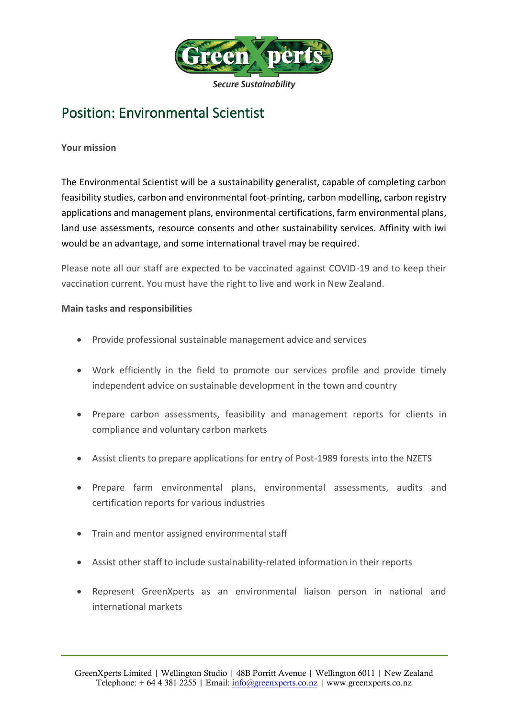

# Position: Environmental Scientist

## **Your mission**

The Environmental Scientist will be a sustainability generalist, capable of completing carbon feasibility studies, carbon and environmental foot-printing, carbon modelling, carbon registry applications and management plans, environmental certifications, farm environmental plans, land use assessments, resource consents and other sustainability services. Affinity with iwi would be an advantage, and some international travel may be required.

Please note all our staff are expected to be vaccinated against COVID-19 and to keep their vaccination current. You must have the right to live and work in New Zealand.

### **Main tasks and responsibilities**

- Provide professional sustainable management advice and services
- Work efficiently in the field to promote our services profile and provide timely independent advice on sustainable development in the town and country
- Prepare carbon assessments, feasibility and management reports for clients in compliance and voluntary carbon markets
- Assist clients to prepare applications for entry of Post-1989 forests into the NZETS
- Prepare farm environmental plans, environmental assessments, audits and certification reports for various industries
- Train and mentor assigned environmental staff
- Assist other staff to include sustainability-related information in their reports
- Represent GreenXperts as an environmental liaison person in national and international markets